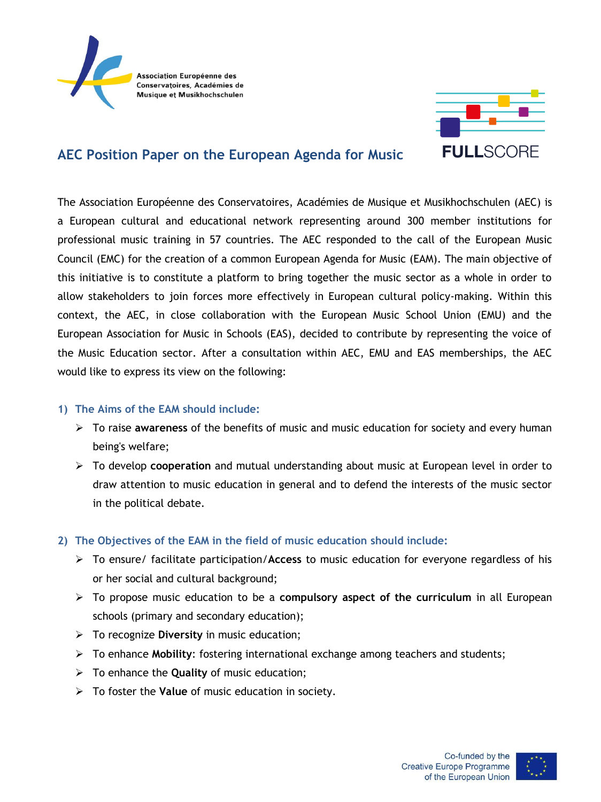



# **AEC Position Paper on the European Agenda for Music**

The Association Européenne des Conservatoires, Académies de Musique et Musikhochschulen (AEC) is a European cultural and educational network representing around 300 member institutions for professional music training in 57 countries. The AEC responded to the call of the European Music Council (EMC) for the creation of a common European Agenda for Music (EAM). The main objective of this initiative is to constitute a platform to bring together the music sector as a whole in order to allow stakeholders to join forces more effectively in European cultural policy-making. Within this context, the AEC, in close collaboration with the European Music School Union (EMU) and the European Association for Music in Schools (EAS), decided to contribute by representing the voice of the Music Education sector. After a consultation within AEC, EMU and EAS memberships, the AEC would like to express its view on the following:

### **1) The Aims of the EAM should include:**

- To raise **awareness** of the benefits of music and music education for society and every human being's welfare;
- To develop **cooperation** and mutual understanding about music at European level in order to draw attention to music education in general and to defend the interests of the music sector in the political debate.

### **2) The Objectives of the EAM in the field of music education should include:**

- To ensure/ facilitate participation/**Access** to music education for everyone regardless of his or her social and cultural background;
- To propose music education to be a **compulsory aspect of the curriculum** in all European schools (primary and secondary education);
- To recognize **Diversity** in music education;
- To enhance **Mobility**: fostering international exchange among teachers and students;
- To enhance the **Quality** of music education;
- To foster the **Value** of music education in society.

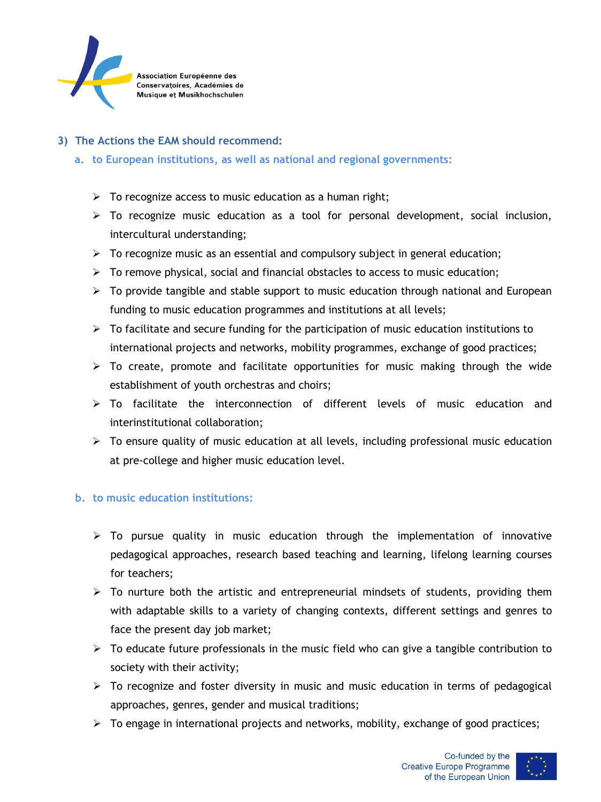

## **3) The Actions the EAM should recommend:**

- **a. to European institutions, as well as national and regional governments:**
	- $\triangleright$  To recognize access to music education as a human right;
	- $\triangleright$  To recognize music education as a tool for personal development, social inclusion, intercultural understanding;
	- $\triangleright$  To recognize music as an essential and compulsory subject in general education;
	- $\triangleright$  To remove physical, social and financial obstacles to access to music education;
	- $\triangleright$  To provide tangible and stable support to music education through national and European funding to music education programmes and institutions at all levels;
	- $\triangleright$  To facilitate and secure funding for the participation of music education institutions to international projects and networks, mobility programmes, exchange of good practices;
	- $\triangleright$  To create, promote and facilitate opportunities for music making through the wide establishment of youth orchestras and choirs;
	- $\geq$  To facilitate the interconnection of different levels of music education and interinstitutional collaboration;
	- $\triangleright$  To ensure quality of music education at all levels, including professional music education at pre-college and higher music education level.

### **b. to music education institutions:**

- $\triangleright$  To pursue quality in music education through the implementation of innovative pedagogical approaches, research based teaching and learning, lifelong learning courses for teachers;
- $\triangleright$  To nurture both the artistic and entrepreneurial mindsets of students, providing them with adaptable skills to a variety of changing contexts, different settings and genres to face the present day job market;
- $\triangleright$  To educate future professionals in the music field who can give a tangible contribution to society with their activity;
- $\triangleright$  To recognize and foster diversity in music and music education in terms of pedagogical approaches, genres, gender and musical traditions;
- $\triangleright$  To engage in international projects and networks, mobility, exchange of good practices;